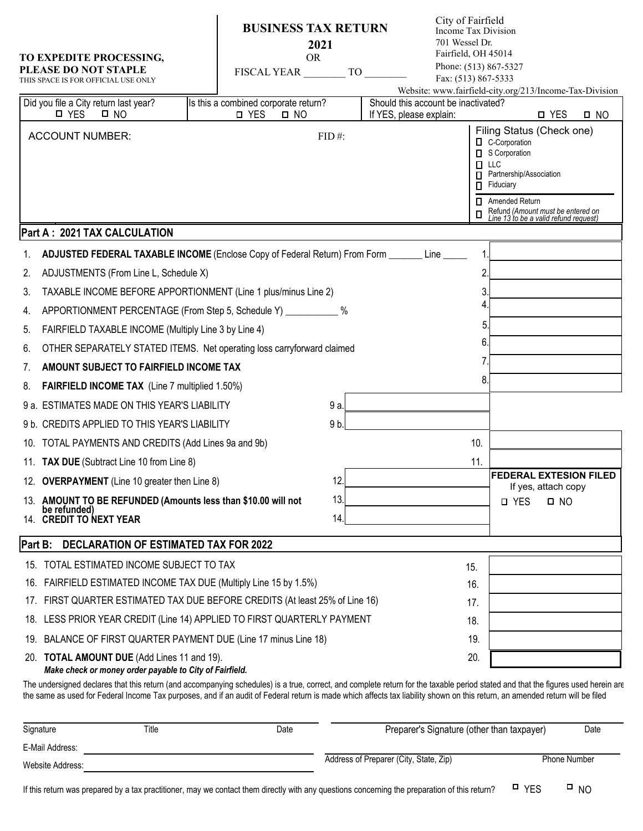|                                                         | TO EXPEDITE PROCESSING,<br><b>PLEASE DO NOT STAPLE</b><br>THIS SPACE IS FOR OFFICIAL USE ONLY<br>Did you file a City return last year?                                                                                                                                                                                                                             | <b>BUSINESS TAX RETURN</b><br>2021<br><b>OR</b><br><b>FISCAL YEAR</b><br>Is this a combined corporate return? | TO    | City of Fairfield<br>Income Tax Division<br>701 Wessel Dr.<br>Fairfield, OH 45014<br>Fax: (513) 867-5333<br>Should this account be inactivated? |                | Phone: (513) 867-5327<br>Website: www.fairfield-city.org/213/Income-Tax-Division                                                                                                                                           |           |  |
|---------------------------------------------------------|--------------------------------------------------------------------------------------------------------------------------------------------------------------------------------------------------------------------------------------------------------------------------------------------------------------------------------------------------------------------|---------------------------------------------------------------------------------------------------------------|-------|-------------------------------------------------------------------------------------------------------------------------------------------------|----------------|----------------------------------------------------------------------------------------------------------------------------------------------------------------------------------------------------------------------------|-----------|--|
|                                                         | □ YES<br>$\square$ NO                                                                                                                                                                                                                                                                                                                                              | <b>D</b> YES<br>D NO                                                                                          |       | If YES, please explain:                                                                                                                         |                | □ YES                                                                                                                                                                                                                      | $\Box$ NO |  |
|                                                         | <b>ACCOUNT NUMBER:</b><br>Part A: 2021 TAX CALCULATION                                                                                                                                                                                                                                                                                                             |                                                                                                               | FID#: |                                                                                                                                                 | п<br>п<br>п    | Filing Status (Check one)<br><b>Q</b> C-Corporation<br>S Corporation<br><b>LLC</b><br>Partnership/Association<br>Fiduciary<br>Amended Return<br>Refund (Amount must be entered on<br>Line 13 to be a valid refund request) |           |  |
|                                                         | ADJUSTED FEDERAL TAXABLE INCOME (Enclose Copy of Federal Return) From Form _______ Line _____                                                                                                                                                                                                                                                                      |                                                                                                               |       |                                                                                                                                                 | 1              |                                                                                                                                                                                                                            |           |  |
| 1.<br>2.                                                | ADJUSTMENTS (From Line L, Schedule X)                                                                                                                                                                                                                                                                                                                              |                                                                                                               |       |                                                                                                                                                 | $\overline{c}$ |                                                                                                                                                                                                                            |           |  |
| 3.                                                      | TAXABLE INCOME BEFORE APPORTIONMENT (Line 1 plus/minus Line 2)                                                                                                                                                                                                                                                                                                     |                                                                                                               |       |                                                                                                                                                 | 3              |                                                                                                                                                                                                                            |           |  |
| 4.                                                      | APPORTIONMENT PERCENTAGE (From Step 5, Schedule Y) ____________ %                                                                                                                                                                                                                                                                                                  |                                                                                                               |       |                                                                                                                                                 | 4              |                                                                                                                                                                                                                            |           |  |
| 5.                                                      | FAIRFIELD TAXABLE INCOME (Multiply Line 3 by Line 4)                                                                                                                                                                                                                                                                                                               |                                                                                                               |       |                                                                                                                                                 | 5              |                                                                                                                                                                                                                            |           |  |
| 6.                                                      | OTHER SEPARATELY STATED ITEMS. Net operating loss carryforward claimed                                                                                                                                                                                                                                                                                             |                                                                                                               |       |                                                                                                                                                 | 6              |                                                                                                                                                                                                                            |           |  |
| 7.                                                      | AMOUNT SUBJECT TO FAIRFIELD INCOME TAX                                                                                                                                                                                                                                                                                                                             |                                                                                                               |       |                                                                                                                                                 | 7              |                                                                                                                                                                                                                            |           |  |
| 8.                                                      | FAIRFIELD INCOME TAX (Line 7 multiplied 1.50%)                                                                                                                                                                                                                                                                                                                     |                                                                                                               |       |                                                                                                                                                 | 8.             |                                                                                                                                                                                                                            |           |  |
|                                                         | 9 a. ESTIMATES MADE ON THIS YEAR'S LIABILITY                                                                                                                                                                                                                                                                                                                       |                                                                                                               | 9 a.  |                                                                                                                                                 |                |                                                                                                                                                                                                                            |           |  |
|                                                         | 9 b. CREDITS APPLIED TO THIS YEAR'S LIABILITY                                                                                                                                                                                                                                                                                                                      |                                                                                                               | 9b.   |                                                                                                                                                 |                |                                                                                                                                                                                                                            |           |  |
| 10.                                                     | TOTAL PAYMENTS AND CREDITS (Add Lines 9a and 9b)                                                                                                                                                                                                                                                                                                                   |                                                                                                               |       |                                                                                                                                                 | 10.            |                                                                                                                                                                                                                            |           |  |
|                                                         | 11. TAX DUE (Subtract Line 10 from Line 8)                                                                                                                                                                                                                                                                                                                         |                                                                                                               |       |                                                                                                                                                 | 11.            |                                                                                                                                                                                                                            |           |  |
|                                                         | 12. OVERPAYMENT (Line 10 greater then Line 8)                                                                                                                                                                                                                                                                                                                      |                                                                                                               | 12.   |                                                                                                                                                 |                | <b>FEDERAL EXTESION FILED</b><br>If yes, attach copy                                                                                                                                                                       |           |  |
|                                                         | 13. AMOUNT TO BE REFUNDED (Amounts less than \$10.00 will not                                                                                                                                                                                                                                                                                                      |                                                                                                               | 13.   |                                                                                                                                                 |                | <b>D</b> YES<br>$\Box$ NO                                                                                                                                                                                                  |           |  |
|                                                         | be refunded)<br>14. CREDIT TO NEXT YEAR                                                                                                                                                                                                                                                                                                                            |                                                                                                               | 14.   |                                                                                                                                                 |                |                                                                                                                                                                                                                            |           |  |
| <b>DECLARATION OF ESTIMATED TAX FOR 2022</b><br>Part B: |                                                                                                                                                                                                                                                                                                                                                                    |                                                                                                               |       |                                                                                                                                                 |                |                                                                                                                                                                                                                            |           |  |
|                                                         | 15. TOTAL ESTIMATED INCOME SUBJECT TO TAX                                                                                                                                                                                                                                                                                                                          |                                                                                                               |       |                                                                                                                                                 | 15.            |                                                                                                                                                                                                                            |           |  |
| 16.                                                     | FAIRFIELD ESTIMATED INCOME TAX DUE (Multiply Line 15 by 1.5%)                                                                                                                                                                                                                                                                                                      |                                                                                                               |       |                                                                                                                                                 | 16.            |                                                                                                                                                                                                                            |           |  |
| 17.                                                     | FIRST QUARTER ESTIMATED TAX DUE BEFORE CREDITS (At least 25% of Line 16)                                                                                                                                                                                                                                                                                           |                                                                                                               |       |                                                                                                                                                 | 17.            |                                                                                                                                                                                                                            |           |  |
| 18.                                                     | LESS PRIOR YEAR CREDIT (Line 14) APPLIED TO FIRST QUARTERLY PAYMENT                                                                                                                                                                                                                                                                                                |                                                                                                               |       |                                                                                                                                                 | 18.            |                                                                                                                                                                                                                            |           |  |
| 19.                                                     | BALANCE OF FIRST QUARTER PAYMENT DUE (Line 17 minus Line 18)                                                                                                                                                                                                                                                                                                       |                                                                                                               |       |                                                                                                                                                 | 19.            |                                                                                                                                                                                                                            |           |  |
|                                                         | 20. <b>TOTAL AMOUNT DUE</b> (Add Lines 11 and 19).<br>Make check or money order payable to City of Fairfield.                                                                                                                                                                                                                                                      |                                                                                                               |       |                                                                                                                                                 | 20.            |                                                                                                                                                                                                                            |           |  |
|                                                         | The undersigned declares that this return (and accompanying schedules) is a true, correct, and complete return for the taxable period stated and that the figures used herein are<br>the same as used for Federal Income Tax purposes, and if an audit of Federal return is made which affects tax liability shown on this return, an amended return will be filed |                                                                                                               |       |                                                                                                                                                 |                |                                                                                                                                                                                                                            |           |  |

| Signature                                                                                                                                     | Preparer's Signature (other than taxpayer)<br>Title<br>Date |  |                                        | Date                |           |
|-----------------------------------------------------------------------------------------------------------------------------------------------|-------------------------------------------------------------|--|----------------------------------------|---------------------|-----------|
| E-Mail Address:                                                                                                                               |                                                             |  |                                        |                     |           |
| Website Address:                                                                                                                              |                                                             |  | Address of Preparer (City, State, Zip) | <b>Phone Number</b> |           |
| If this return was prepared by a tax practitioner, may we contact them directly with any questions concerning the preparation of this return? |                                                             |  |                                        |                     | $\Box$ NO |